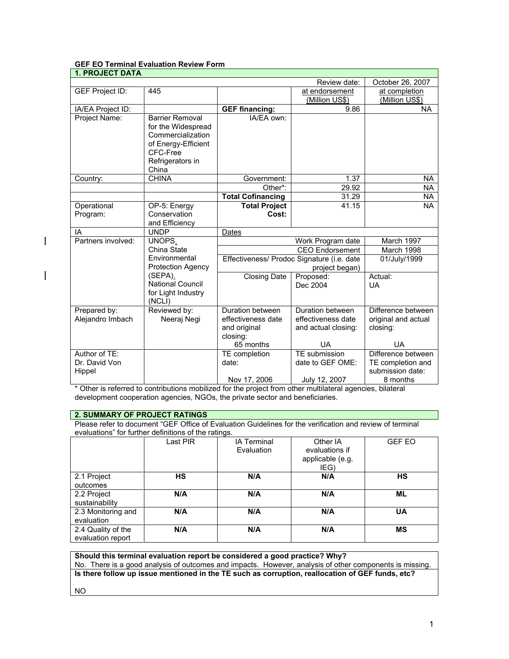|--|

| <b>1. PROJECT DATA</b> |                         |                                            |                        |                     |
|------------------------|-------------------------|--------------------------------------------|------------------------|---------------------|
|                        |                         |                                            | Review date:           | October 26, 2007    |
| GEF Project ID:        | 445                     |                                            | at endorsement         | at completion       |
|                        |                         |                                            | (Million US\$)         | (Million US\$)      |
| IA/EA Project ID:      |                         | <b>GEF financing:</b>                      | 9.86                   | <b>NA</b>           |
| Project Name:          | <b>Barrier Removal</b>  | IA/EA own:                                 |                        |                     |
|                        | for the Widespread      |                                            |                        |                     |
|                        | Commercialization       |                                            |                        |                     |
|                        | of Energy-Efficient     |                                            |                        |                     |
|                        | CFC-Free                |                                            |                        |                     |
|                        | Refrigerators in        |                                            |                        |                     |
|                        | China                   |                                            |                        |                     |
| Country:               | <b>CHINA</b>            | Government:                                | 1.37                   | NA.                 |
|                        |                         | Other*:                                    | 29.92                  | <b>NA</b>           |
|                        |                         | <b>Total Cofinancing</b>                   | 31.29                  | <b>NA</b>           |
| Operational            | OP-5: Energy            | <b>Total Project</b>                       | 41.15                  | <b>NA</b>           |
| Program:               | Conservation            | Cost:                                      |                        |                     |
|                        | and Efficiency          |                                            |                        |                     |
| IA                     | <b>UNDP</b>             | Dates                                      |                        |                     |
| Partners involved:     | UNOPS,                  | Work Program date                          |                        | March 1997          |
|                        | China State             |                                            | <b>CEO</b> Endorsement | March 1998          |
|                        | Environmental           | Effectiveness/ Prodoc Signature (i.e. date |                        | 01/July/1999        |
|                        | Protection Agency       | project began)                             |                        |                     |
|                        | (SEPA),                 | <b>Closing Date</b>                        | Proposed:              | Actual:             |
|                        | <b>National Council</b> |                                            | Dec 2004               | <b>UA</b>           |
|                        | for Light Industry      |                                            |                        |                     |
| Prepared by:           | (NCLI)<br>Reviewed by:  | Duration between                           | Duration between       | Difference between  |
| Alejandro Imbach       | Neeraj Negi             | effectiveness date                         | effectiveness date     | original and actual |
|                        |                         | and original                               | and actual closing:    | closing:            |
|                        |                         | closing:                                   |                        |                     |
|                        |                         | 65 months                                  | UA                     | <b>UA</b>           |
| Author of TE:          |                         | TE completion                              | TE submission          | Difference between  |
| Dr. David Von          |                         | date:                                      | date to GEF OME:       | TE completion and   |
| Hippel                 |                         |                                            |                        | submission date:    |
|                        |                         | Nov 17, 2006                               | July 12, 2007          | 8 months            |

\* Other is referred to contributions mobilized for the project from other multilateral agencies, bilateral development cooperation agencies, NGOs, the private sector and beneficiaries.

# **2. SUMMARY OF PROJECT RATINGS**

 $\overline{\phantom{a}}$ 

 $\overline{\phantom{a}}$ 

Please refer to document "GEF Office of Evaluation Guidelines for the verification and review of terminal evaluations" for further definitions of the ratings.

|                                         | Last PIR | <b>IA Terminal</b><br>Evaluation | Other IA<br>evaluations if<br>applicable (e.g.<br>IEG) | <b>GEF EO</b> |
|-----------------------------------------|----------|----------------------------------|--------------------------------------------------------|---------------|
| 2.1 Project<br>outcomes                 | НS       | N/A                              | N/A                                                    | <b>HS</b>     |
| 2.2 Project<br>sustainability           | N/A      | N/A                              | N/A                                                    | ML            |
| 2.3 Monitoring and<br>evaluation        | N/A      | N/A                              | N/A                                                    | UA            |
| 2.4 Quality of the<br>evaluation report | N/A      | N/A                              | N/A                                                    | <b>MS</b>     |

**Should this terminal evaluation report be considered a good practice? Why?** No. There is a good analysis of outcomes and impacts. However, analysis of other components is missing. **Is there follow up issue mentioned in the TE such as corruption, reallocation of GEF funds, etc?** NO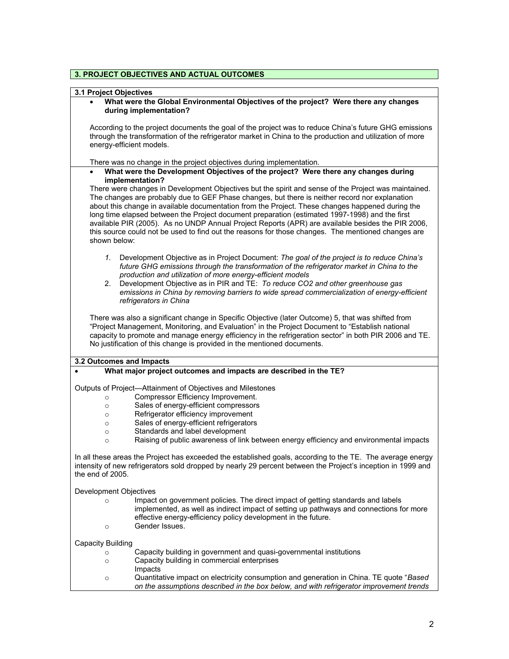# **3. PROJECT OBJECTIVES AND ACTUAL OUTCOMES**

# **3.1 Project Objectives**

|                                                                | What were the Global Environmental Objectives of the project? Were there any changes<br>during implementation?                                                                                                                                                                                                                                                                                                                                                                                                                                                                                                          |
|----------------------------------------------------------------|-------------------------------------------------------------------------------------------------------------------------------------------------------------------------------------------------------------------------------------------------------------------------------------------------------------------------------------------------------------------------------------------------------------------------------------------------------------------------------------------------------------------------------------------------------------------------------------------------------------------------|
| energy-efficient models.                                       | According to the project documents the goal of the project was to reduce China's future GHG emissions<br>through the transformation of the refrigerator market in China to the production and utilization of more                                                                                                                                                                                                                                                                                                                                                                                                       |
|                                                                | There was no change in the project objectives during implementation.                                                                                                                                                                                                                                                                                                                                                                                                                                                                                                                                                    |
| $\bullet$                                                      | What were the Development Objectives of the project? Were there any changes during<br>implementation?                                                                                                                                                                                                                                                                                                                                                                                                                                                                                                                   |
| shown below:                                                   | There were changes in Development Objectives but the spirit and sense of the Project was maintained.<br>The changes are probably due to GEF Phase changes, but there is neither record nor explanation<br>about this change in available documentation from the Project. These changes happened during the<br>long time elapsed between the Project document preparation (estimated 1997-1998) and the first<br>available PIR (2005). As no UNDP Annual Project Reports (APR) are available besides the PIR 2006,<br>this source could not be used to find out the reasons for those changes. The mentioned changes are |
| 1.<br>2.                                                       | Development Objective as in Project Document: The goal of the project is to reduce China's<br>future GHG emissions through the transformation of the refrigerator market in China to the<br>production and utilization of more energy-efficient models<br>Development Objective as in PIR and TE: To reduce CO2 and other greenhouse gas<br>emissions in China by removing barriers to wide spread commercialization of energy-efficient<br>refrigerators in China                                                                                                                                                      |
|                                                                | There was also a significant change in Specific Objective (later Outcome) 5, that was shifted from<br>"Project Management, Monitoring, and Evaluation" in the Project Document to "Establish national<br>capacity to promote and manage energy efficiency in the refrigeration sector" in both PIR 2006 and TE.<br>No justification of this change is provided in the mentioned documents.                                                                                                                                                                                                                              |
| 3.2 Outcomes and Impacts                                       |                                                                                                                                                                                                                                                                                                                                                                                                                                                                                                                                                                                                                         |
|                                                                | What major project outcomes and impacts are described in the TE?                                                                                                                                                                                                                                                                                                                                                                                                                                                                                                                                                        |
| $\circ$<br>$\circ$<br>$\circ$<br>$\circ$<br>$\circ$<br>$\circ$ | Outputs of Project-Attainment of Objectives and Milestones<br>Compressor Efficiency Improvement.<br>Sales of energy-efficient compressors<br>Refrigerator efficiency improvement<br>Sales of energy-efficient refrigerators<br>Standards and label development<br>Raising of public awareness of link between energy efficiency and environmental impacts                                                                                                                                                                                                                                                               |
| the end of 2005.                                               | In all these areas the Project has exceeded the established goals, according to the TE. The average energy<br>intensity of new refrigerators sold dropped by nearly 29 percent between the Project's inception in 1999 and                                                                                                                                                                                                                                                                                                                                                                                              |
| Development Objectives                                         |                                                                                                                                                                                                                                                                                                                                                                                                                                                                                                                                                                                                                         |
| $\circ$<br>$\circ$                                             | Impact on government policies. The direct impact of getting standards and labels<br>implemented, as well as indirect impact of setting up pathways and connections for more<br>effective energy-efficiency policy development in the future.<br>Gender Issues.                                                                                                                                                                                                                                                                                                                                                          |
|                                                                |                                                                                                                                                                                                                                                                                                                                                                                                                                                                                                                                                                                                                         |
| <b>Capacity Building</b>                                       |                                                                                                                                                                                                                                                                                                                                                                                                                                                                                                                                                                                                                         |
| $\circ$<br>$\circ$                                             | Capacity building in government and quasi-governmental institutions<br>Capacity building in commercial enterprises<br>Impacts                                                                                                                                                                                                                                                                                                                                                                                                                                                                                           |
| $\circ$                                                        | Quantitative impact on electricity consumption and generation in China. TE quote "Based<br>on the assumptions described in the box below, and with refrigerator improvement trends                                                                                                                                                                                                                                                                                                                                                                                                                                      |

٦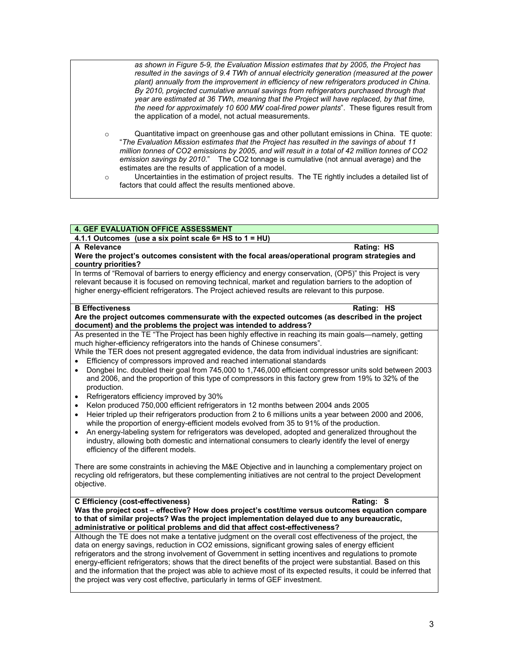|                    | as shown in Figure 5-9, the Evaluation Mission estimates that by 2005, the Project has<br>resulted in the savings of 9.4 TWh of annual electricity generation (measured at the power<br>plant) annually from the improvement in efficiency of new refrigerators produced in China.<br>By 2010, projected cumulative annual savings from refrigerators purchased through that<br>year are estimated at 36 TWh, meaning that the Project will have replaced, by that time,<br>the need for approximately 10 600 MW coal-fired power plants". These figures result from<br>the application of a model, not actual measurements. |
|--------------------|------------------------------------------------------------------------------------------------------------------------------------------------------------------------------------------------------------------------------------------------------------------------------------------------------------------------------------------------------------------------------------------------------------------------------------------------------------------------------------------------------------------------------------------------------------------------------------------------------------------------------|
| $\circ$<br>$\circ$ | Quantitative impact on greenhouse gas and other pollutant emissions in China. TE quote:<br>"The Evaluation Mission estimates that the Project has resulted in the savings of about 11<br>million tonnes of CO2 emissions by 2005, and will result in a total of 42 million tonnes of CO2<br>emission savings by 2010." The CO2 tonnage is cumulative (not annual average) and the<br>estimates are the results of application of a model.<br>Uncertainties in the estimation of project results. The TE rightly includes a detailed list of<br>factors that could affect the results mentioned above.                        |

# **4. GEF EVALUATION OFFICE ASSESSMENT**

**4.1.1 Outcomes (use a six point scale 6= HS to 1 = HU)** 

**A Relevance Rating: HS Were the project's outcomes consistent with the focal areas/operational program strategies and country priorities?**

In terms of "Removal of barriers to energy efficiency and energy conservation, (OP5)" this Project is very relevant because it is focused on removing technical, market and regulation barriers to the adoption of higher energy-efficient refrigerators. The Project achieved results are relevant to this purpose.

#### **B Effectiveness** Rating: HS **Are the project outcomes commensurate with the expected outcomes (as described in the project document) and the problems the project was intended to address?**

As presented in the TE "The Project has been highly effective in reaching its main goals—namely, getting much higher-efficiency refrigerators into the hands of Chinese consumers".

- While the TER does not present aggregated evidence, the data from individual industries are significant:
- Efficiency of compressors improved and reached international standards
- Dongbei Inc. doubled their goal from 745,000 to 1,746,000 efficient compressor units sold between 2003 and 2006, and the proportion of this type of compressors in this factory grew from 19% to 32% of the production.
- Refrigerators efficiency improved by 30%
- Kelon produced 750,000 efficient refrigerators in 12 months between 2004 ands 2005
- Heier tripled up their refrigerators production from 2 to 6 millions units a year between 2000 and 2006, while the proportion of energy-efficient models evolved from 35 to 91% of the production.
- An energy-labeling system for refrigerators was developed, adopted and generalized throughout the industry, allowing both domestic and international consumers to clearly identify the level of energy efficiency of the different models.

There are some constraints in achieving the M&E Objective and in launching a complementary project on recycling old refrigerators, but these complementing initiatives are not central to the project Development objective.

#### **C Efficiency (cost-effectiveness) Rating: S**

**Was the project cost – effective? How does project's cost/time versus outcomes equation compare to that of similar projects? Was the project implementation delayed due to any bureaucratic, administrative or political problems and did that affect cost-effectiveness?**

Although the TE does not make a tentative judgment on the overall cost effectiveness of the project, the data on energy savings, reduction in CO2 emissions, significant growing sales of energy efficient refrigerators and the strong involvement of Government in setting incentives and regulations to promote energy-efficient refrigerators; shows that the direct benefits of the project were substantial. Based on this and the information that the project was able to achieve most of its expected results, it could be inferred that the project was very cost effective, particularly in terms of GEF investment.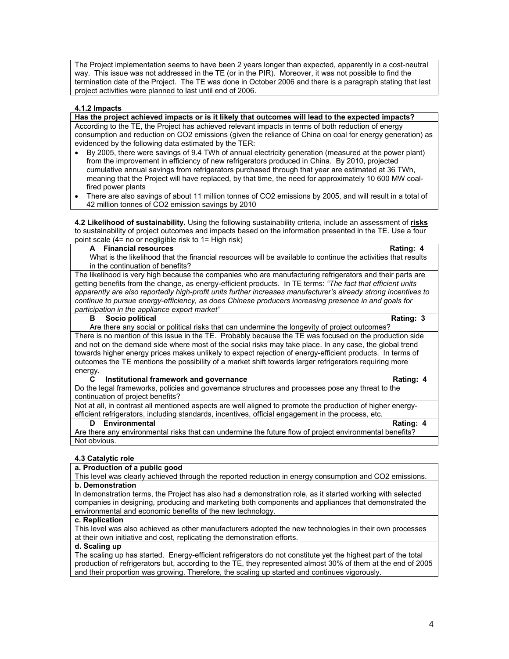The Project implementation seems to have been 2 years longer than expected, apparently in a cost-neutral way. This issue was not addressed in the TE (or in the PIR). Moreover, it was not possible to find the termination date of the Project. The TE was done in October 2006 and there is a paragraph stating that last project activities were planned to last until end of 2006.

### **4.1.2 Impacts**

**Has the project achieved impacts or is it likely that outcomes will lead to the expected impacts?**  According to the TE, the Project has achieved relevant impacts in terms of both reduction of energy consumption and reduction on CO2 emissions (given the reliance of China on coal for energy generation) as evidenced by the following data estimated by the TER:

- By 2005, there were savings of 9.4 TWh of annual electricity generation (measured at the power plant) from the improvement in efficiency of new refrigerators produced in China. By 2010, projected cumulative annual savings from refrigerators purchased through that year are estimated at 36 TWh, meaning that the Project will have replaced, by that time, the need for approximately 10 600 MW coalfired power plants
- There are also savings of about 11 million tonnes of CO2 emissions by 2005, and will result in a total of 42 million tonnes of CO2 emission savings by 2010

**4.2 Likelihood of sustainability.** Using the following sustainability criteria, include an assessment of **risks** to sustainability of project outcomes and impacts based on the information presented in the TE. Use a four point scale  $(4=$  no or negligible risk to  $1=$  High risk)

#### **A Financial resources Rating: 4**

What is the likelihood that the financial resources will be available to continue the activities that results in the continuation of benefits?

The likelihood is very high because the companies who are manufacturing refrigerators and their parts are getting benefits from the change, as energy-efficient products. In TE terms: *"The fact that efficient units apparently are also reportedly high-profit units further increases manufacturer's already strong incentives to continue to pursue energy-efficiency, as does Chinese producers increasing presence in and goals for participation in the appliance export market"*

#### **B** Socio political Rating: 3

Are there any social or political risks that can undermine the longevity of project outcomes? There is no mention of this issue in the TE. Probably because the TE was focused on the production side and not on the demand side where most of the social risks may take place. In any case, the global trend towards higher energy prices makes unlikely to expect rejection of energy-efficient products. In terms of outcomes the TE mentions the possibility of a market shift towards larger refrigerators requiring more energy.

#### **C** Institutional framework and governance **Rating: 4** Rating: 4

Do the legal frameworks, policies and governance structures and processes pose any threat to the continuation of project benefits?

Not at all, in contrast all mentioned aspects are well aligned to promote the production of higher energyefficient refrigerators, including standards, incentives, official engagement in the process, etc.

#### **D** Environmental Rating: 4

Are there any environmental risks that can undermine the future flow of project environmental benefits? Not obvious.

# **4.3 Catalytic role**

#### **a. Production of a public good**

This level was clearly achieved through the reported reduction in energy consumption and CO2 emissions. **b. Demonstration** 

In demonstration terms, the Project has also had a demonstration role, as it started working with selected companies in designing, producing and marketing both components and appliances that demonstrated the environmental and economic benefits of the new technology.

#### **c. Replication**

This level was also achieved as other manufacturers adopted the new technologies in their own processes at their own initiative and cost, replicating the demonstration efforts.

#### **d. Scaling up**

The scaling up has started. Energy-efficient refrigerators do not constitute yet the highest part of the total production of refrigerators but, according to the TE, they represented almost 30% of them at the end of 2005 and their proportion was growing. Therefore, the scaling up started and continues vigorously.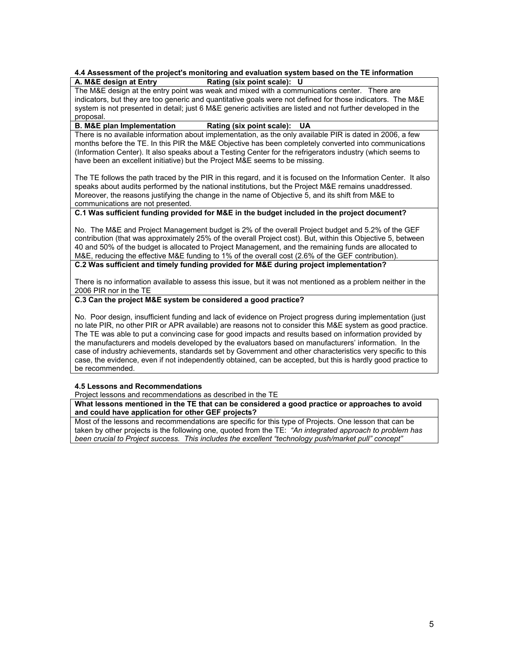#### **4.4 Assessment of the project's monitoring and evaluation system based on the TE information Rating** (six point scale): U

The M&E design at the entry point was weak and mixed with a communications center. There are indicators, but they are too generic and quantitative goals were not defined for those indicators. The M&E system is not presented in detail; just 6 M&E generic activities are listed and not further developed in the

#### proposal.<br>B. M&E plan Implementation **Rating (six point scale): UA**

There is no available information about implementation, as the only available PIR is dated in 2006, a few months before the TE. In this PIR the M&E Objective has been completely converted into communications (Information Center). It also speaks about a Testing Center for the refrigerators industry (which seems to have been an excellent initiative) but the Project M&E seems to be missing.

The TE follows the path traced by the PIR in this regard, and it is focused on the Information Center. It also speaks about audits performed by the national institutions, but the Project M&E remains unaddressed. Moreover, the reasons justifying the change in the name of Objective 5, and its shift from M&E to communications are not presented.

# **C.1 Was sufficient funding provided for M&E in the budget included in the project document?**

No. The M&E and Project Management budget is 2% of the overall Project budget and 5.2% of the GEF contribution (that was approximately 25% of the overall Project cost). But, within this Objective 5, between 40 and 50% of the budget is allocated to Project Management, and the remaining funds are allocated to M&E, reducing the effective M&E funding to 1% of the overall cost (2.6% of the GEF contribution). **C.2 Was sufficient and timely funding provided for M&E during project implementation?**

There is no information available to assess this issue, but it was not mentioned as a problem neither in the 2006 PIR nor in the TE

### **C.3 Can the project M&E system be considered a good practice?**

No. Poor design, insufficient funding and lack of evidence on Project progress during implementation (just no late PIR, no other PIR or APR available) are reasons not to consider this M&E system as good practice. The TE was able to put a convincing case for good impacts and results based on information provided by the manufacturers and models developed by the evaluators based on manufacturers' information. In the case of industry achievements, standards set by Government and other characteristics very specific to this case, the evidence, even if not independently obtained, can be accepted, but this is hardly good practice to be recommended.

# **4.5 Lessons and Recommendations**

Project lessons and recommendations as described in the TE

**What lessons mentioned in the TE that can be considered a good practice or approaches to avoid and could have application for other GEF projects?**

Most of the lessons and recommendations are specific for this type of Projects. One lesson that can be taken by other projects is the following one, quoted from the TE: *"An integrated approach to problem has been crucial to Project success. This includes the excellent "technology push/market pull" concept"*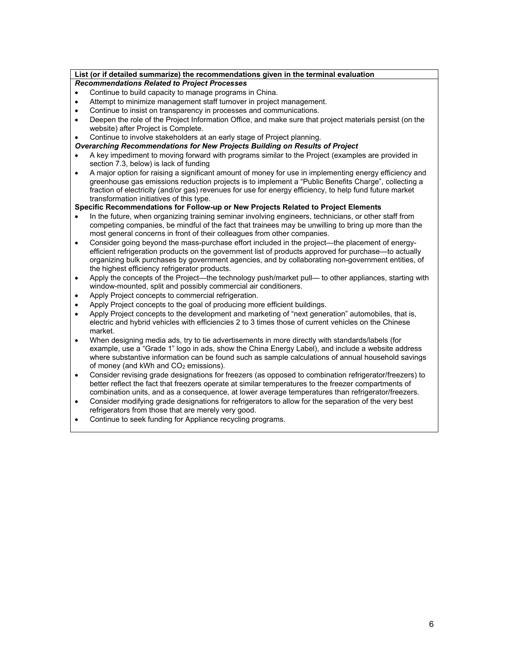# **List (or if detailed summarize) the recommendations given in the terminal evaluation**

# *Recommendations Related to Project Processes*

- Continue to build capacity to manage programs in China.
- Attempt to minimize management staff turnover in project management.
- Continue to insist on transparency in processes and communications.
- Deepen the role of the Project Information Office, and make sure that project materials persist (on the website) after Project is Complete.
- Continue to involve stakeholders at an early stage of Project planning.
- *Overarching Recommendations for New Projects Building on Results of Project*
- A key impediment to moving forward with programs similar to the Project (examples are provided in section 7.3, below) is lack of funding
- A major option for raising a significant amount of money for use in implementing energy efficiency and greenhouse gas emissions reduction projects is to implement a "Public Benefits Charge", collecting a fraction of electricity (and/or gas) revenues for use for energy efficiency, to help fund future market transformation initiatives of this type.

# **Specific Recommendations for Follow-up or New Projects Related to Project Elements**

- In the future, when organizing training seminar involving engineers, technicians, or other staff from competing companies, be mindful of the fact that trainees may be unwilling to bring up more than the most general concerns in front of their colleagues from other companies.
- Consider going beyond the mass-purchase effort included in the project—the placement of energyefficient refrigeration products on the government list of products approved for purchase—to actually organizing bulk purchases by government agencies, and by collaborating non-government entities, of the highest efficiency refrigerator products.
- Apply the concepts of the Project—the technology push/market pull— to other appliances, starting with window-mounted, split and possibly commercial air conditioners.
- Apply Project concepts to commercial refrigeration.
- Apply Project concepts to the goal of producing more efficient buildings.
- Apply Project concepts to the development and marketing of "next generation" automobiles, that is, electric and hybrid vehicles with efficiencies 2 to 3 times those of current vehicles on the Chinese market.
- When designing media ads, try to tie advertisements in more directly with standards/labels (for example, use a "Grade 1" logo in ads, show the China Energy Label), and include a website address where substantive information can be found such as sample calculations of annual household savings of money (and kWh and CO<sub>2</sub> emissions).
- Consider revising grade designations for freezers (as opposed to combination refrigerator/freezers) to better reflect the fact that freezers operate at similar temperatures to the freezer compartments of combination units, and as a consequence, at lower average temperatures than refrigerator/freezers.
- Consider modifying grade designations for refrigerators to allow for the separation of the very best refrigerators from those that are merely very good.
- Continue to seek funding for Appliance recycling programs.